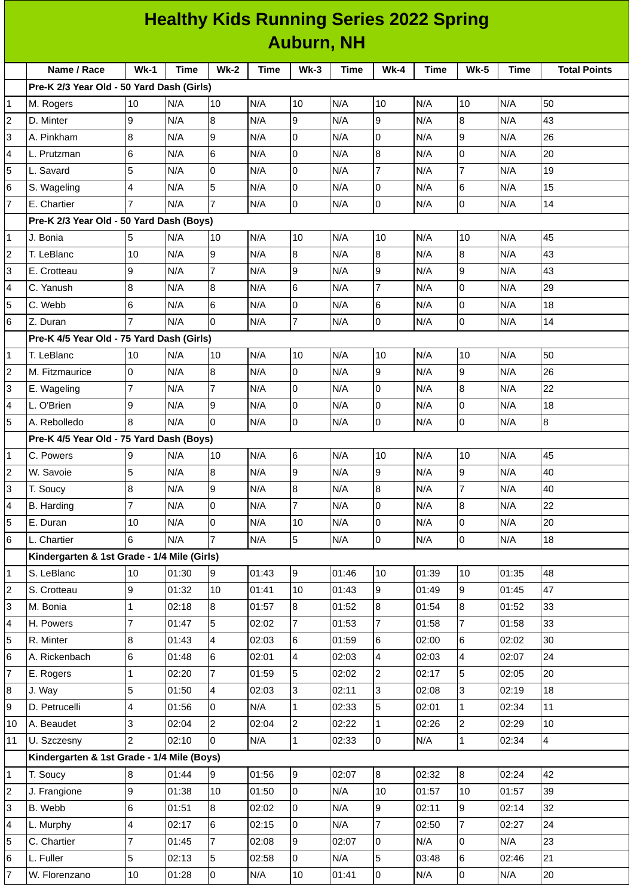| <b>Healthy Kids Running Series 2022 Spring</b> |                                             |                 |       |                 |             |                |             |                |             |                |             |                     |
|------------------------------------------------|---------------------------------------------|-----------------|-------|-----------------|-------------|----------------|-------------|----------------|-------------|----------------|-------------|---------------------|
|                                                | <b>Auburn, NH</b>                           |                 |       |                 |             |                |             |                |             |                |             |                     |
|                                                | Name / Race                                 | $Wk-1$          | Time  | <b>Wk-2</b>     | <b>Time</b> | $Wk-3$         | <b>Time</b> | <b>Wk-4</b>    | <b>Time</b> | <b>Wk-5</b>    | <b>Time</b> | <b>Total Points</b> |
|                                                | Pre-K 2/3 Year Old - 50 Yard Dash (Girls)   |                 |       |                 |             |                |             |                |             |                |             |                     |
| 1                                              | M. Rogers                                   | 10              | N/A   | 10              | N/A         | 10             | N/A         | 10             | N/A         | 10             | N/A         | 50                  |
| 2                                              | D. Minter                                   | 9               | N/A   | 8               | N/A         | 9              | N/A         | 9              | N/A         | 8              | N/A         | 43                  |
| 3                                              | A. Pinkham                                  | 8               | N/A   | 9               | N/A         | 0              | N/A         | Iо             | N/A         | 9              | N/A         | 26                  |
| 4                                              | L. Prutzman                                 | 6               | N/A   | 6               | N/A         | 0              | N/A         | $\overline{8}$ | N/A         | 0              | N/A         | 20                  |
| 5                                              | L. Savard                                   | 5               | N/A   | 0               | N/A         | 0              | N/A         | $\overline{7}$ | N/A         | $\overline{7}$ | N/A         | 19                  |
| 6                                              | S. Wageling                                 | $\overline{4}$  | N/A   | 5               | N/A         | 0              | N/A         | Iо             | N/A         | 6              | N/A         | 15                  |
| $\overline{7}$                                 | E. Chartier                                 | $\overline{7}$  | N/A   | $\overline{7}$  | N/A         | 0              | N/A         | 0              | N/A         | 0              | N/A         | 14                  |
|                                                | Pre-K 2/3 Year Old - 50 Yard Dash (Boys)    |                 |       |                 |             |                |             |                |             |                |             |                     |
| 1                                              | J. Bonia                                    | 5               | N/A   | 10              | N/A         | 10             | N/A         | 10             | N/A         | 10             | N/A         | 45                  |
| 2                                              | T. LeBlanc                                  | 10              | N/A   | 9               | N/A         | 8              | N/A         | 8              | N/A         | 8              | N/A         | 43                  |
| 3                                              | E. Crotteau                                 | 9               | N/A   | $\overline{7}$  | N/A         | 9              | N/A         | 9              | N/A         | $\overline{9}$ | N/A         | 43                  |
| 4                                              | C. Yanush                                   | 8               | N/A   | 8               | N/A         | 6              | N/A         | $\overline{7}$ | N/A         | $\overline{0}$ | N/A         | 29                  |
| 5                                              | C. Webb                                     | $6\phantom{.}6$ | N/A   | $6\phantom{.}$  | N/A         | 0              | N/A         | $6\phantom{.}$ | N/A         | $\mathsf{O}$   | N/A         | 18                  |
| 6                                              | Z. Duran                                    | $\overline{7}$  | N/A   | $\Omega$        | N/A         | $\overline{7}$ | N/A         | Iо             | N/A         | $\overline{0}$ | N/A         | 14                  |
| Pre-K 4/5 Year Old - 75 Yard Dash (Girls)      |                                             |                 |       |                 |             |                |             |                |             |                |             |                     |
| 1                                              | T. LeBlanc                                  | 10              | N/A   | 10              | N/A         | 10             | N/A         | 10             | N/A         | 10             | N/A         | 50                  |
| 2                                              | M. Fitzmaurice                              | l0              | N/A   | $\bf{8}$        | N/A         | 0              | N/A         | l9             | N/A         | 9              | N/A         | 26                  |
| 3                                              | E. Wageling                                 | $\overline{7}$  | N/A   | $\overline{7}$  | N/A         | 0              | N/A         | l0             | N/A         | 8              | N/A         | 22                  |
| 4                                              | L. O'Brien                                  | 9               | N/A   | 9               | N/A         | 0              | N/A         | Iо             | N/A         | 0              | N/A         | 18                  |
| 5                                              | A. Rebolledo                                | 8               | N/A   | l0              | N/A         | 0              | N/A         | l0             | N/A         | $\mathsf{O}$   | N/A         | $\overline{8}$      |
|                                                | Pre-K 4/5 Year Old - 75 Yard Dash (Boys)    |                 |       |                 |             |                |             |                |             |                |             |                     |
| 1                                              | C. Powers                                   | 9               | N/A   | 10              | N/A         | 6              | N/A         | 10             | N/A         | 10             | N/A         | 45                  |
| 2                                              | W. Savoie                                   | 5               | N/A   | $\bf{8}$        | N/A         | 9              | N/A         | 9              | N/A         | 9              | N/A         | 40                  |
| 3                                              | T. Soucy                                    | 8               | N/A   | 9               | N/A         | $\, 8$         | N/A         | 8              | N/A         | $\overline{7}$ | N/A         | 40                  |
| 4                                              | B. Harding                                  | $\overline{7}$  | N/A   | $\overline{0}$  | N/A         | $\overline{7}$ | N/A         | l0             | N/A         | $\bf{8}$       | N/A         | 22                  |
| 5                                              | E. Duran                                    | 10              | N/A   | $\overline{0}$  | N/A         | 10             | N/A         | O              | N/A         | 0              | N/A         | 20                  |
| 6                                              | L. Chartier                                 | 6               | N/A   | $\overline{7}$  | N/A         | 5              | N/A         | lo.            | N/A         | $\overline{0}$ | N/A         | 18                  |
|                                                | Kindergarten & 1st Grade - 1/4 Mile (Girls) |                 |       |                 |             |                |             |                |             |                |             |                     |
| 1                                              | S. LeBlanc                                  | 10              | 01:30 | 9               | 01:43       | 9              | 01:46       | 10             | 01:39       | 10             | 01:35       | 48                  |
| 2                                              | S. Crotteau                                 | 9               | 01:32 | 10              | 01:41       | 10             | 01:43       | 9              | 01:49       | 9              | 01:45       | 47                  |
| 3                                              | M. Bonia                                    | $\mathbf{1}$    | 02:18 | 8               | 01:57       | 8              | 01:52       | 8              | 01:54       | 8              | 01:52       | 33                  |
| 4                                              | H. Powers                                   | $\overline{7}$  | 01:47 | 5               | 02:02       | $\overline{7}$ | 01:53       | 7              | 01:58       | $\overline{7}$ | 01:58       | 33                  |
| 5                                              | R. Minter                                   | 8               | 01:43 | 4               | 02:03       | 6              | 01:59       | $6\phantom{.}$ | 02:00       | 6              | 02:02       | 30                  |
| 6                                              | A. Rickenbach                               | 6               | 01:48 | 6               | 02:01       | 4              | 02:03       | $\overline{4}$ | 02:03       | $\overline{a}$ | 02:07       | 24                  |
| $\overline{7}$                                 | E. Rogers                                   | $\mathbf 1$     | 02:20 | $\overline{7}$  | 01:59       | 5              | 02:02       | $\overline{c}$ | 02:17       | 5              | 02:05       | 20                  |
| 8                                              | J. Way                                      | 5               | 01:50 | $\overline{4}$  | 02:03       | 3              | 02:11       | $\overline{3}$ | 02:08       | 3              | 02:19       | 18                  |
| 9                                              | D. Petrucelli                               | 4               | 01:56 | $\overline{0}$  | N/A         | $\mathbf{1}$   | 02:33       | 5              | 02:01       | $\mathbf{1}$   | 02:34       | 11                  |
| 10                                             | A. Beaudet                                  | 3               | 02:04 | $\overline{2}$  | 02:04       | $\overline{2}$ | 02:22       | $\mathbf{1}$   | 02:26       | $\overline{2}$ | 02:29       | 10                  |
| 11                                             | U. Szczesny                                 | 2               | 02:10 | 0               | N/A         | $\mathbf{1}$   | 02:33       | 0              | N/A         | $\mathbf 1$    | 02:34       | $\overline{4}$      |
|                                                | Kindergarten & 1st Grade - 1/4 Mile (Boys)  |                 |       |                 |             |                |             |                |             |                |             |                     |
| 1                                              | T. Soucy                                    | 8               | 01:44 | 9               | 01:56       | 9              | 02:07       | 8              | 02:32       | 8              | 02:24       | 42                  |
| 2                                              | J. Frangione                                | 9               | 01:38 | 10              | 01:50       | $\mathsf{O}$   | N/A         | 10             | 01:57       | 10             | 01:57       | 39                  |
| 3                                              | B. Webb                                     | $6\overline{6}$ | 01:51 | $\overline{8}$  | 02:02       | $\overline{0}$ | N/A         | 9              | 02:11       | $\overline{9}$ | 02:14       | 32                  |
| 4                                              | L. Murphy                                   | $\overline{4}$  | 02:17 | $6\phantom{.}6$ | 02:15       | 0              | N/A         | $\overline{7}$ | 02:50       | $\overline{7}$ | 02:27       | 24                  |
| 5                                              | C. Chartier                                 | $\overline{7}$  | 01:45 | $\overline{7}$  | 02:08       | 9              | 02:07       | 0              | N/A         | 0              | N/A         | 23                  |
| 6                                              | L. Fuller                                   | 5               | 02:13 | 5               | 02:58       | $\overline{0}$ | N/A         | 5              | 03:48       | $\,6$          | 02:46       | 21                  |
| 7                                              | W. Florenzano                               | 10              | 01:28 | lo.             | N/A         | 10             | 01:41       | lo.            | N/A         | O              | N/A         | 20                  |